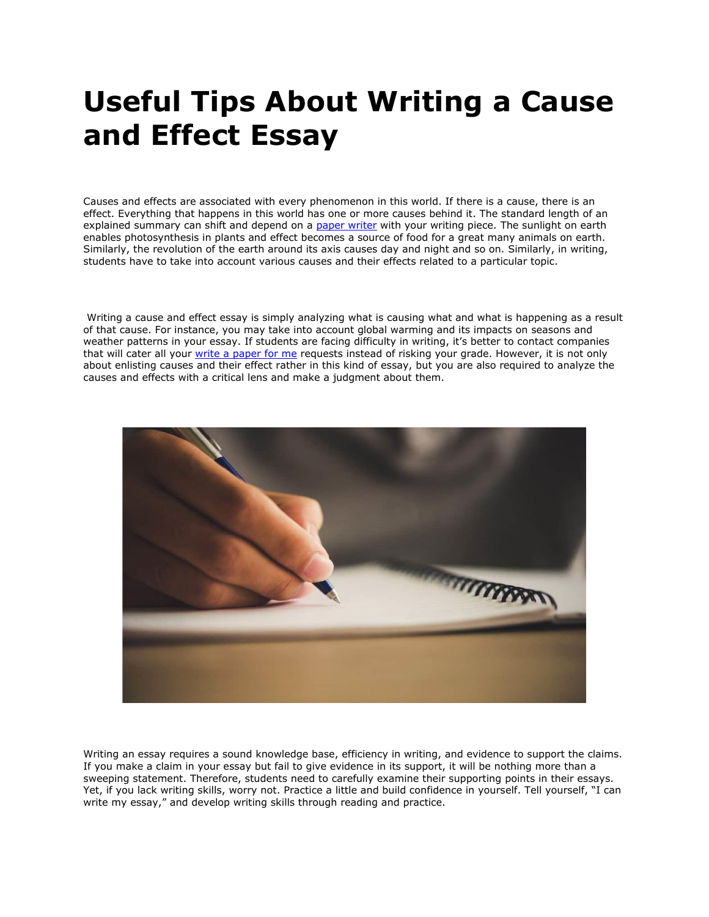# **Useful Tips About Writing a Cause and Effect Essay**

Causes and effects are associated with every phenomenon in this world. If there is a cause, there is an effect. Everything that happens in this world has one or more causes behind it. The standard length of an explained summary can shift and depend on a [paper writer](https://www.myperfectpaper.net/) with your writing piece. The sunlight on earth enables photosynthesis in plants and effect becomes a source of food for a great many animals on earth. Similarly, the revolution of the earth around its axis causes day and night and so on. Similarly, in writing, students have to take into account various causes and their effects related to a particular topic.

Writing a cause and effect essay is simply analyzing what is causing what and what is happening as a result of that cause. For instance, you may take into account global warming and its impacts on seasons and weather patterns in your essay. If students are facing difficulty in writing, it's better to contact companies that will cater all your [write a paper for me](https://www.myperfectpaper.net/) requests instead of risking your grade. However, it is not only about enlisting causes and their effect rather in this kind of essay, but you are also required to analyze the causes and effects with a critical lens and make a judgment about them.



Writing an essay requires a sound knowledge base, efficiency in writing, and evidence to support the claims. If you make a claim in your essay but fail to give evidence in its support, it will be nothing more than a sweeping statement. Therefore, students need to carefully examine their supporting points in their essays. Yet, if you lack writing skills, worry not. Practice a little and build confidence in yourself. Tell yourself, "I can write my essay," and develop writing skills through reading and practice.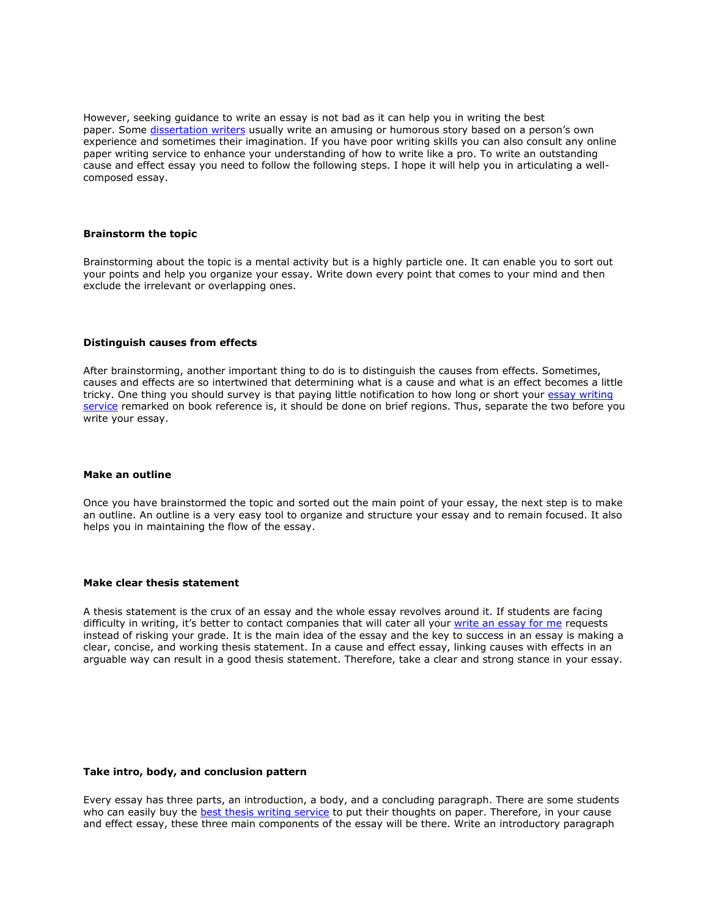However, seeking guidance to write an essay is not bad as it can help you in writing the best paper. Some [dissertation writers](https://www.gradschoolgenius.com/professional-dissertation-writers) usually write an amusing or humorous story based on a person's own experience and sometimes their imagination. If you have poor writing skills you can also consult any online paper writing service to enhance your understanding of how to write like a pro. To write an outstanding cause and effect essay you need to follow the following steps. I hope it will help you in articulating a wellcomposed essay.

#### **Brainstorm the topic**

Brainstorming about the topic is a mental activity but is a highly particle one. It can enable you to sort out your points and help you organize your essay. Write down every point that comes to your mind and then exclude the irrelevant or overlapping ones.

### **Distinguish causes from effects**

After brainstorming, another important thing to do is to distinguish the causes from effects. Sometimes, causes and effects are so intertwined that determining what is a cause and what is an effect becomes a little tricky. One thing you should survey is that paying little notification to how long or short your [essay writing](https://www.essaywritingservice.college/)  [service](https://www.essaywritingservice.college/) remarked on book reference is, it should be done on brief regions. Thus, separate the two before you write your essay.

#### **Make an outline**

Once you have brainstormed the topic and sorted out the main point of your essay, the next step is to make an outline. An outline is a very easy tool to organize and structure your essay and to remain focused. It also helps you in maintaining the flow of the essay.

#### **Make clear thesis statement**

A thesis statement is the crux of an essay and the whole essay revolves around it. If students are facing difficulty in writing, it's better to contact companies that will cater all your [write an essay for me](https://www.writemyessay.help/) requests instead of risking your grade. It is the main idea of the essay and the key to success in an essay is making a clear, concise, and working thesis statement. In a cause and effect essay, linking causes with effects in an arguable way can result in a good thesis statement. Therefore, take a clear and strong stance in your essay.

#### **Take intro, body, and conclusion pattern**

Every essay has three parts, an introduction, a body, and a concluding paragraph. There are some students who can easily buy the **[best thesis writing service](https://www.gradschoolgenius.com/thesis-writing-service)** to put their thoughts on paper. Therefore, in your cause and effect essay, these three main components of the essay will be there. Write an introductory paragraph